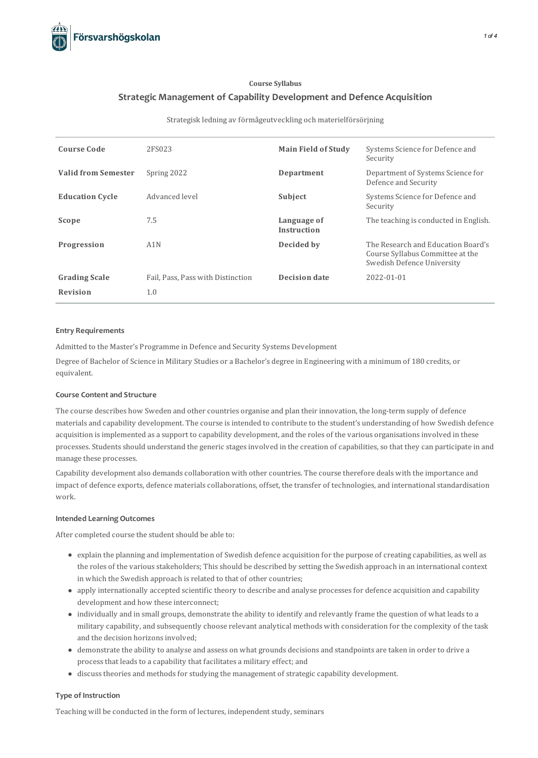

# **Course Syllabus Strategic Management of Capability Development and Defence Acquisition**

#### Strategisk ledning av förmågeutveckling och materielförsörjning

| <b>Course Code</b>         | 2FS023                            | <b>Main Field of Study</b>        | Systems Science for Defence and<br>Security                                                          |
|----------------------------|-----------------------------------|-----------------------------------|------------------------------------------------------------------------------------------------------|
| <b>Valid from Semester</b> | Spring 2022                       | Department                        | Department of Systems Science for<br>Defence and Security                                            |
| <b>Education Cycle</b>     | Advanced level                    | Subject                           | Systems Science for Defence and<br>Security                                                          |
| Scope                      | 7.5                               | Language of<br><b>Instruction</b> | The teaching is conducted in English.                                                                |
| Progression                | A1N                               | Decided by                        | The Research and Education Board's<br>Course Syllabus Committee at the<br>Swedish Defence University |
| <b>Grading Scale</b>       | Fail, Pass, Pass with Distinction | <b>Decision date</b>              | 2022-01-01                                                                                           |
| <b>Revision</b>            | 1.0                               |                                   |                                                                                                      |

#### **Entry Requirements**

Admitted to the Master's Programme in Defence and Security Systems Development

Degree of Bachelor of Science in Military Studies or a Bachelor's degree in Engineering with a minimum of 180 credits, or equivalent.

#### **Course Contentand Structure**

The course describes how Sweden and other countries organise and plan their innovation, the long-term supply of defence materials and capability development. The course isintended to contribute to the student's understanding of how Swedish defence acquisition is implemented as a support to capability development, and the roles of the various organisations involved in these processes. Students should understand the generic stages involved in the creation of capabilities, so that they can participate in and manage these processes.

Capability development also demands collaboration with other countries. The course therefore deals with the importance and impact of defence exports, defence materials collaborations, offset, the transfer of technologies, and international standardisation work.

## **Intended Learning Outcomes**

After completed course the student should be able to:

- explain the planning and implementation of Swedish defence acquisition for the purpose of creating capabilities, as well as the roles of the various stakeholders; This should be described by setting the Swedish approach in an international context in which the Swedish approach is related to that of other countries;
- apply internationally accepted scientific theory to describe and analyse processesfor defence acquisition and capability development and how these interconnect;
- individually and in small groups, demonstrate the ability to identify and relevantly frame the question of what leadsto a military capability, and subsequently choose relevant analytical methods with consideration for the complexity of the task and the decision horizons involved;
- demonstrate the ability to analyse and assess on what grounds decisions and standpoints are taken in order to drive a process that leads to a capability that facilitates a military effect; and
- $\bullet$  discuss theories and methods for studying the management of strategic capability development.

#### **Type of Instruction**

Teaching will be conducted in the form of lectures, independent study, seminars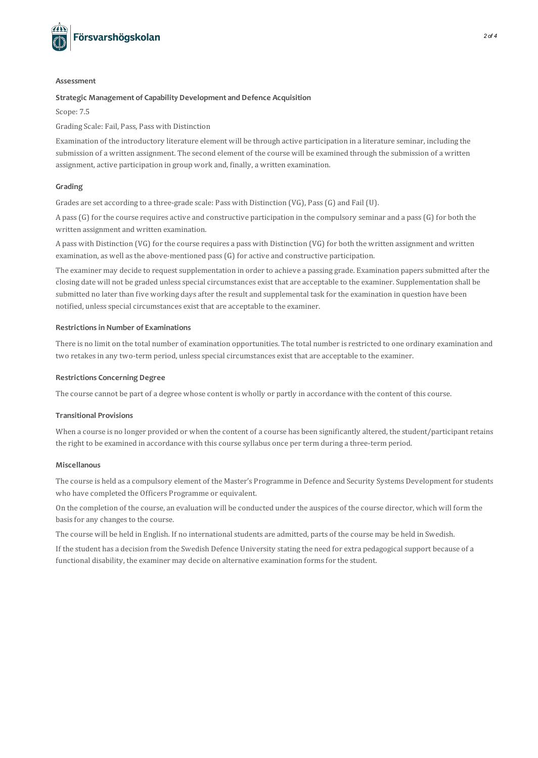

#### **Assessment**

#### **Strategic Management of Capability Developmentand Defence Acquisition**

Scope: 7.5

Grading Scale: Fail, Pass, Pass with Distinction

Examination of the introductory literature element will be through active participation in a literature seminar, including the submission of a written assignment. The second element of the course will be examined through the submission of a written assignment, active participation in group work and, finally, a written examination.

## **Grading**

Grades are set according to a three-grade scale: Pass with Distinction (VG), Pass(G) and Fail (U).

A pass(G) for the course requires active and constructive participation in the compulsory seminar and a pass(G) for both the written assignment and written examination.

A pass with Distinction (VG) for the course requires a pass with Distinction (VG) for both the written assignment and written examination, as well as the above-mentioned pass  $(G)$  for active and constructive participation.

The examiner may decide to request supplementation in order to achieve a passing grade. Examination paperssubmitted after the closing date will not be graded unless special circumstances exist that are acceptable to the examiner. Supplementation shall be submitted no later than five working days after the result and supplemental task for the examination in question have been notified, unless special circumstances exist that are acceptable to the examiner.

## **Restrictionsin Number of Examinations**

There is no limit on the total number of examination opportunities. The total number is restricted to one ordinary examination and two retakes in any two-term period, unless special circumstances exist that are acceptable to the examiner.

## **Restrictions Concerning Degree**

The course cannot be part of a degree whose content is wholly or partly in accordance with the content of thiscourse.

## **Transitional Provisions**

When a course is no longer provided or when the content of a course has been significantly altered, the student/participant retains the right to be examined in accordance with thiscourse syllabus once per term during a three-term period.

## **Miscellanous**

The course is held as a compulsory element of the Master's Programme in Defence and Security Systems Development forstudents who have completed the Officers Programme or equivalent.

On the completion of the course, an evaluation will be conducted under the auspices of the course director, which will form the basis for any changes to the course.

The course will be held in English. If no international students are admitted, parts of the course may be held in Swedish.

If the student has a decision from the Swedish Defence University stating the need for extra pedagogicalsupport because of a functional disability, the examiner may decide on alternative examination formsfor the student.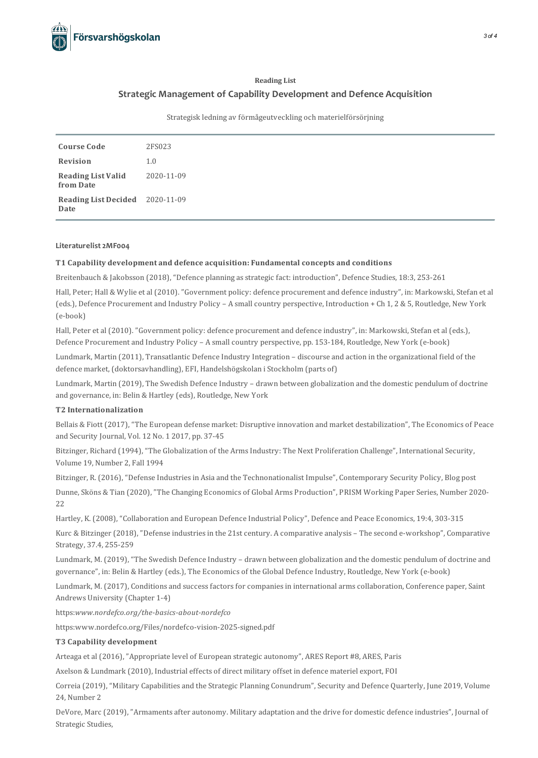

# **Reading List Strategic Management of Capability Development and Defence Acquisition**

Strategisk ledning av förmågeutveckling och materielförsörjning

| <b>Course Code</b>                      | 2FS023     |
|-----------------------------------------|------------|
| Revision                                | 1.0        |
| <b>Reading List Valid</b><br>from Date  | 2020-11-09 |
| Reading List Decided 2020-11-09<br>Date |            |

# **Literaturelist2MF004**

## **T1 Capability development and defence acquisition: Fundamental concepts and conditions**

Breitenbauch & Jakobsson (2018), "Defence planning asstrategic fact: introduction", Defence Studies, 18:3, 253-261

Hall, Peter; Hall & Wylie et al (2010). "Government policy: defence procurement and defence industry", in: Markowski, Stefan et al (eds.), Defence Procurement and Industry Policy – A smallcountry perspective, Introduction + Ch 1, 2 & 5, Routledge, New York (e-book)

Hall, Peter et al (2010). "Government policy: defence procurement and defence industry", in: Markowski, Stefan et al (eds.), Defence Procurement and Industry Policy – A smallcountry perspective, pp. 153-184, Routledge, New York (e-book)

Lundmark, Martin (2011), Transatlantic Defence Industry Integration – discourse and action in the organizational field of the defence market, (doktorsavhandling), EFI, Handelshögskolan i Stockholm (parts of)

Lundmark, Martin (2019), The Swedish Defence Industry – drawn between globalization and the domestic pendulum of doctrine and governance, in: Belin & Hartley (eds), Routledge, New York

# **T2 Internationalization**

Bellais & Fiott (2017), "The European defense market: Disruptive innovation and market destabilization", The Economics of Peace and Security Journal, Vol. 12 No. 1 2017, pp. 37-45

Bitzinger, Richard (1994), "The Globalization of the Arms Industry: The Next Proliferation Challenge", International Security, Volume 19, Number 2, Fall 1994

Bitzinger, R. (2016), "Defense Industriesin Asia and the Technonationalist Impulse", Contemporary Security Policy, Blog post

Dunne, Sköns & Tian (2020), "The Changing Economics of Global Arms Production", PRISM Working Paper Series, Number 2020- 22

Hartley, K. (2008), "Collaboration and European Defence Industrial Policy", Defence and Peace Economics, 19:4, 303-315

Kurc & Bitzinger (2018), "Defense industries in the 21st century. A comparative analysis - The second e-workshop", Comparative Strategy, 37.4, 255-259

Lundmark, M. (2019), "The Swedish Defence Industry – drawn between globalization and the domestic pendulum of doctrine and governance", in: Belin & Hartley (eds.), The Economics of the Global Defence Industry, Routledge, New York (e-book)

Lundmark, M. (2017), Conditions and success factors for companies in international arms collaboration, Conference paper, Saint Andrews University (Chapter 1-4)

https:*www.nordefco.org/the-basics-about-nordefco*

https:www.nordefco.org/Files/nordefco-vision-2025-signed.pdf

## **T3 Capability development**

Arteaga et al (2016), "Appropriate level of European strategic autonomy", ARES Report #8, ARES, Paris

Axelson & Lundmark (2010), Industrial effects of direct military offset in defence materiel export, FOI

Correia (2019), "Military Capabilities and the Strategic Planning Conundrum", Security and Defence Quarterly, June 2019, Volume 24, Number 2

DeVore, Marc (2019), "Armaments after autonomy. Military adaptation and the drive for domestic defence industries", Journal of Strategic Studies,